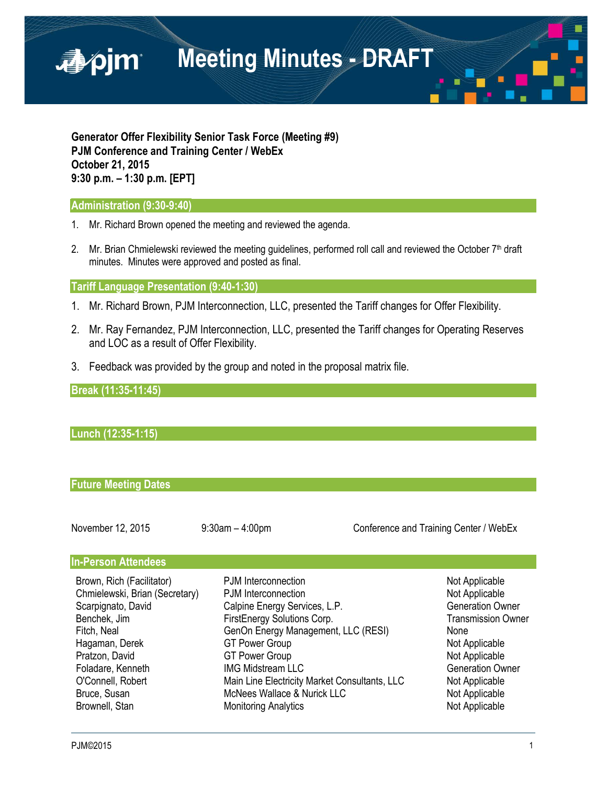

**Generator Offer Flexibility Senior Task Force (Meeting #9) PJM Conference and Training Center / WebEx October 21, 2015 9:30 p.m. – 1:30 p.m. [EPT]**

## **Administration (9:30-9:40)**

- 1. Mr. Richard Brown opened the meeting and reviewed the agenda.
- 2. Mr. Brian Chmielewski reviewed the meeting guidelines, performed roll call and reviewed the October  $7<sup>th</sup>$  draft minutes. Minutes were approved and posted as final.

#### **Tariff Language Presentation (9:40-1:30)**

- 1. Mr. Richard Brown, PJM Interconnection, LLC, presented the Tariff changes for Offer Flexibility.
- 2. Mr. Ray Fernandez, PJM Interconnection, LLC, presented the Tariff changes for Operating Reserves and LOC as a result of Offer Flexibility.
- 3. Feedback was provided by the group and noted in the proposal matrix file.

#### **Break (11:35-11:45)**

# **Lunch (12:35-1:15)**

#### **Future Meeting Dates**

| November 12, 2015 |  |  |
|-------------------|--|--|
|-------------------|--|--|

9:30am – 4:00pm Conference and Training Center / WebEx

#### **In-Person Attendees**

| Brown, Rich (Facilitator)      | PJM Interconnection                           | Not Applicable            |
|--------------------------------|-----------------------------------------------|---------------------------|
| Chmielewski, Brian (Secretary) | PJM Interconnection                           | Not Applicable            |
| Scarpignato, David             | Calpine Energy Services, L.P.                 | <b>Generation Owner</b>   |
| Benchek, Jim                   | FirstEnergy Solutions Corp.                   | <b>Transmission Owner</b> |
| Fitch, Neal                    | GenOn Energy Management, LLC (RESI)           | None                      |
| Hagaman, Derek                 | <b>GT Power Group</b>                         | Not Applicable            |
| Pratzon, David                 | <b>GT Power Group</b>                         | Not Applicable            |
| Foladare, Kenneth              | <b>IMG Midstream LLC</b>                      | <b>Generation Owner</b>   |
| O'Connell, Robert              | Main Line Electricity Market Consultants, LLC | Not Applicable            |
| Bruce, Susan                   | McNees Wallace & Nurick LLC                   | Not Applicable            |
| Brownell, Stan                 | <b>Monitoring Analytics</b>                   | Not Applicable            |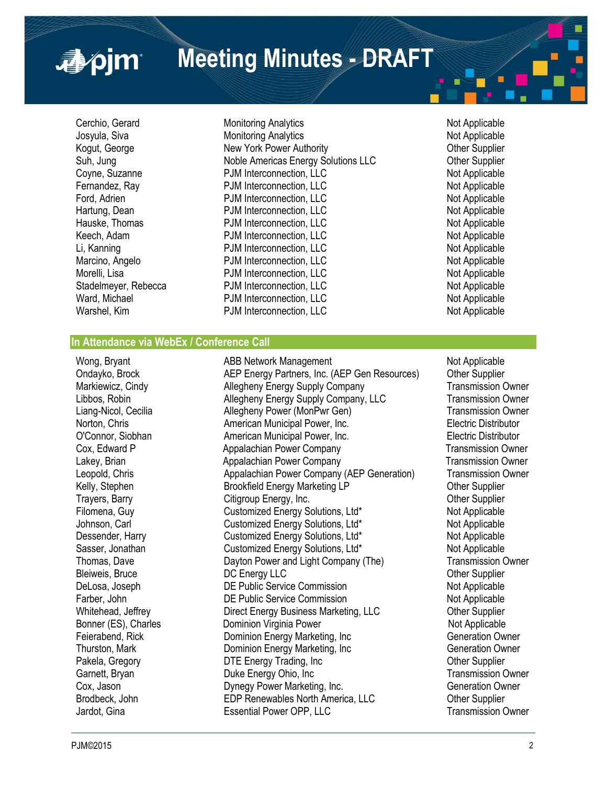**Meeting Minutes - DRAFT**

■pim

Cerchio, Gerard **Monitoring Analytics** Not Applicable Not Applicable Josyula, Siva **Monitoring Analytics** Monitoring Analytics Not Applicable Kogut, George The New York Power Authority New York Power Authority Channel Authority Cher Supplier Suh, Jung **Noble Americas Energy Solutions LLC Chamericas Energy Solutions LLC** Other Supplier Coyne, Suzanne PJM Interconnection, LLC Not Applicable Fernandez, Ray **PJM Interconnection, LLC** Not Applicable Ford, Adrien Not Applicable Ford, Adrien Not Applicable Ford, Adrien **PJM** Interconnection, LLC Hartung, Dean **PJM Interconnection, LLC** Not Applicable Hauske, Thomas **Example 20 FUM Interconnection, LLC**<br> **EXAMPLE CONTEXAGE REGISTER**<br>
PJM Interconnection. LLC<br>
Not Applicable Keech, Adam **PJM** Interconnection, LLC Li, Kanning **National Community Community** PJM Interconnection, LLC Not Applicable Marcino, Angelo **Marcino, Angelo PJM Interconnection, LLC** Not Applicable Not Applicable<br>
Morelli, Lisa **Not Applicable** PJM Interconnection, LLC Morelli, Lisa **PJM** Interconnection, LLC Stadelmeyer, Rebecca **PJM Interconnection, LLC** Not Applicable Ward, Michael **National PDM Interconnection, LLC**<br>
Warshel, Kim **National PDM Interconnection, LLC** Not Applicable PJM Interconnection, LLC

## **In Attendance via WebEx / Conference Call**

Wong, Bryant **ABB Network Management** ABB Network Management Ondayko, Brock AEP Energy Partners, Inc. (AEP Gen Resources) Other Supplier Markiewicz, Cindy **Allegheny Energy Supply Company** Transmission Owner Libbos, Robin Allegheny Energy Supply Company, LLC Transmission Owner Liang-Nicol, Cecilia Allegheny Power (MonPwr Gen) Transmission Owner Norton, Chris **American Municipal Power, Inc.** Electric Distributor C'Connor. Siobhan and American Municipal Power, Inc. **Electric Distributor** C'Connor. Siobhan American Municipal Power, Inc. Cox, Edward P **Appalachian Power Company Transmission Owner** Cox, Edward P Lakey, Brian **Appalachian Power Company Company** Transmission Owner Leopold, Chris Appalachian Power Company (AEP Generation) Transmission Owner Kelly, Stephen **Brookfield Energy Marketing LP** Cther Supplier Trayers, Barry **Citigroup Energy, Inc.** Charges and Communist Communist Communist Communist Communist Communist Communist Communist Communist Communist Communist Communist Communist Communist Communist Communist Communist Filomena, Guy Customized Energy Solutions, Ltd\* Not Applicable Johnson, Carl Customized Energy Solutions, Ltd\* Not Applicable Dessender, Harry **Customized Energy Solutions, Ltd\*** Not Applicable Sasser, Jonathan **Customized Energy Solutions, Ltd\*** Not Applicable Thomas, Dave **Dayton Power and Light Company (The)** Transmission Owner Bleiweis, Bruce **DIC Energy LLC CONSERVING SUPPLIER** Bruce **DIC Energy LLC CONSERVING SUPPLIER** Other Supplier DeLosa, Joseph **DE Public Service Commission** Not Applicable Farber, John **DE Public Service Commission** Not Applicable Whitehead, Jeffrey **Direct Energy Business Marketing, LLC** Other Supplier Bonner (ES), Charles **Dominion Virginia Power** Not Applicable Feierabend, Rick **Dominion Energy Marketing, Inc** Generation Owner Thurston, Mark **Dominion Energy Marketing, Inc** Generation Owner Pakela, Gregory **DTE Energy Trading, Inc** Changeler Changeler Changeler Changeler Garnett, Bryan **Duke Energy Ohio, Inc Community Community** Transmission Owner Cox, Jason **Dynegy Power Marketing, Inc.** Generation Owner Brodbeck, John **EDP Renewables North America, LLC** Other Supplier<br>
Jardot. Gina **Camera Control Control Control** Current Control Control Current Current Commer Jardot, Gina **Essential Power OPP, LLC**